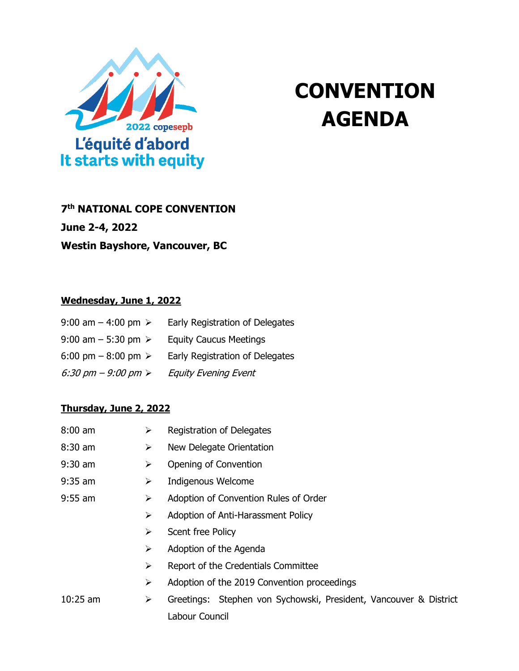

# **CONVENTION AGENDA**

## **7 th NATIONAL COPE CONVENTION**

**June 2-4, 2022**

**Westin Bayshore, Vancouver, BC**

#### **Wednesday, June 1, 2022**

| 9:00 am $-$ 4:00 pm $\ge$            | Early Registration of Delegates |
|--------------------------------------|---------------------------------|
| 9:00 am $-$ 5:30 pm $\ge$            | <b>Equity Caucus Meetings</b>   |
| 6:00 pm $-$ 8:00 pm $\ge$            | Early Registration of Delegates |
| 6:30 pm $-$ 9:00 pm $\triangleright$ | <b>Equity Evening Event</b>     |

#### **Thursday, June 2, 2022**

| $8:00$ am  | ➤ | Registration of Delegates                                         |  |  |
|------------|---|-------------------------------------------------------------------|--|--|
| $8:30$ am  | ➤ | New Delegate Orientation                                          |  |  |
| $9:30$ am  | ➤ | Opening of Convention                                             |  |  |
| $9:35$ am  | ➤ | Indigenous Welcome                                                |  |  |
| $9:55$ am  | ➤ | Adoption of Convention Rules of Order                             |  |  |
|            | ➤ | Adoption of Anti-Harassment Policy                                |  |  |
|            | ➤ | Scent free Policy                                                 |  |  |
|            | ➤ | Adoption of the Agenda                                            |  |  |
|            | ➤ | Report of the Credentials Committee                               |  |  |
|            | ➤ | Adoption of the 2019 Convention proceedings                       |  |  |
| $10:25$ am | ➤ | Greetings: Stephen von Sychowski, President, Vancouver & District |  |  |
|            |   | Labour Council                                                    |  |  |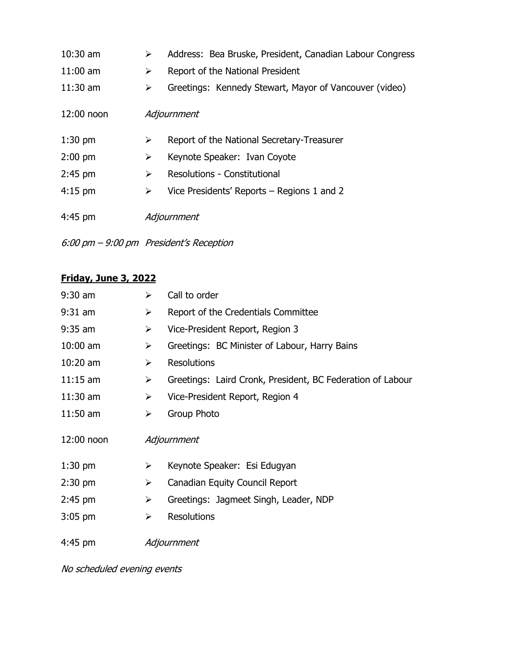| $10:30$ am   | ➤ | Address: Bea Bruske, President, Canadian Labour Congress |
|--------------|---|----------------------------------------------------------|
| $11:00$ am   | ➤ | Report of the National President                         |
| $11:30$ am   | ➤ | Greetings: Kennedy Stewart, Mayor of Vancouver (video)   |
| $12:00$ noon |   | Adjournment                                              |
| $1:30$ pm    | ➤ | Report of the National Secretary-Treasurer               |
| $2:00$ pm    | ➤ | Keynote Speaker: Ivan Coyote                             |
| $2:45$ pm    | ➤ | <b>Resolutions - Constitutional</b>                      |
| $4:15$ pm    | ➤ | Vice Presidents' Reports – Regions 1 and 2               |
| $4:45$ pm    |   | Adjournment                                              |

6:00 pm – 9:00 pm President's Reception

### **Friday, June 3, 2022**

| $9:30$ am    | ➤                     | Call to order                                              |
|--------------|-----------------------|------------------------------------------------------------|
| $9:31$ am    | $\blacktriangleright$ | Report of the Credentials Committee                        |
| $9:35$ am    | ➤                     | Vice-President Report, Region 3                            |
| $10:00$ am   | ➤                     | Greetings: BC Minister of Labour, Harry Bains              |
| $10:20$ am   | $\blacktriangleright$ | <b>Resolutions</b>                                         |
| $11:15$ am   | $\blacktriangleright$ | Greetings: Laird Cronk, President, BC Federation of Labour |
| $11:30$ am   | $\blacktriangleright$ | Vice-President Report, Region 4                            |
| $11:50$ am   | $\blacktriangleright$ | Group Photo                                                |
|              |                       |                                                            |
| $12:00$ noon |                       | Adjournment                                                |
| $1:30$ pm    | ➤                     | Keynote Speaker: Esi Edugyan                               |
| $2:30$ pm    | ➤                     | Canadian Equity Council Report                             |
| $2:45$ pm    | $\blacktriangleright$ | Greetings: Jagmeet Singh, Leader, NDP                      |
| $3:05$ pm    | ➤                     | <b>Resolutions</b>                                         |

No scheduled evening events